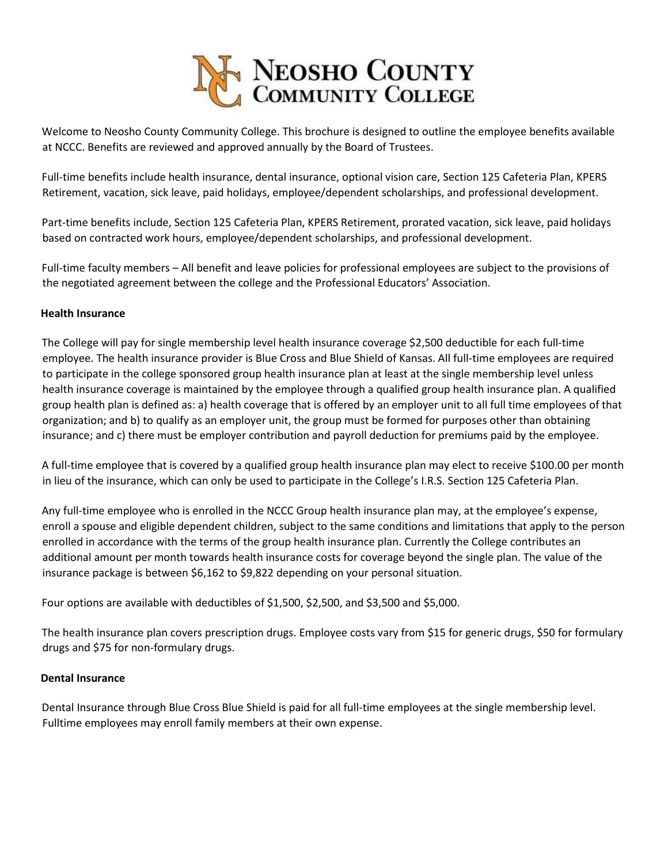

Welcome to Neosho County Community College. This brochure is designed to outline the employee benefits available at NCCC. Benefits are reviewed and approved annually by the Board of Trustees.

Full-time benefits include health insurance, dental insurance, optional vision care, Section 125 Cafeteria Plan, KPERS Retirement, vacation, sick leave, paid holidays, employee/dependent scholarships, and professional development.

Part-time benefits include, Section 125 Cafeteria Plan, KPERS Retirement, prorated vacation, sick leave, paid holidays based on contracted work hours, employee/dependent scholarships, and professional development.

Full-time faculty members – All benefit and leave policies for professional employees are subject to the provisions of the negotiated agreement between the college and the Professional Educators' Association.

#### **Health Insurance**

The College will pay for single membership level health insurance coverage \$2,500 deductible for each full-time employee. The health insurance provider is Blue Cross and Blue Shield of Kansas. All full-time employees are required to participate in the college sponsored group health insurance plan at least at the single membership level unless health insurance coverage is maintained by the employee through a qualified group health insurance plan. A qualified group health plan is defined as: a) health coverage that is offered by an employer unit to all full time employees of that organization; and b) to qualify as an employer unit, the group must be formed for purposes other than obtaining insurance; and c) there must be employer contribution and payroll deduction for premiums paid by the employee.

A full-time employee that is covered by a qualified group health insurance plan may elect to receive \$100.00 per month in lieu of the insurance, which can only be used to participate in the College's I.R.S. Section 125 Cafeteria Plan.

Any full-time employee who is enrolled in the NCCC Group health insurance plan may, at the employee's expense, enroll a spouse and eligible dependent children, subject to the same conditions and limitations that apply to the person enrolled in accordance with the terms of the group health insurance plan. Currently the College contributes an additional amount per month towards health insurance costs for coverage beyond the single plan. The value of the insurance package is between \$6,162 to \$9,822 depending on your personal situation.

Four options are available with deductibles of \$1,500, \$2,500, and \$3,500 and \$5,000.

The health insurance plan covers prescription drugs. Employee costs vary from \$15 for generic drugs, \$50 for formulary drugs and \$75 for non-formulary drugs.

#### **Dental Insurance**

Dental Insurance through Blue Cross Blue Shield is paid for all full-time employees at the single membership level. Fulltime employees may enroll family members at their own expense.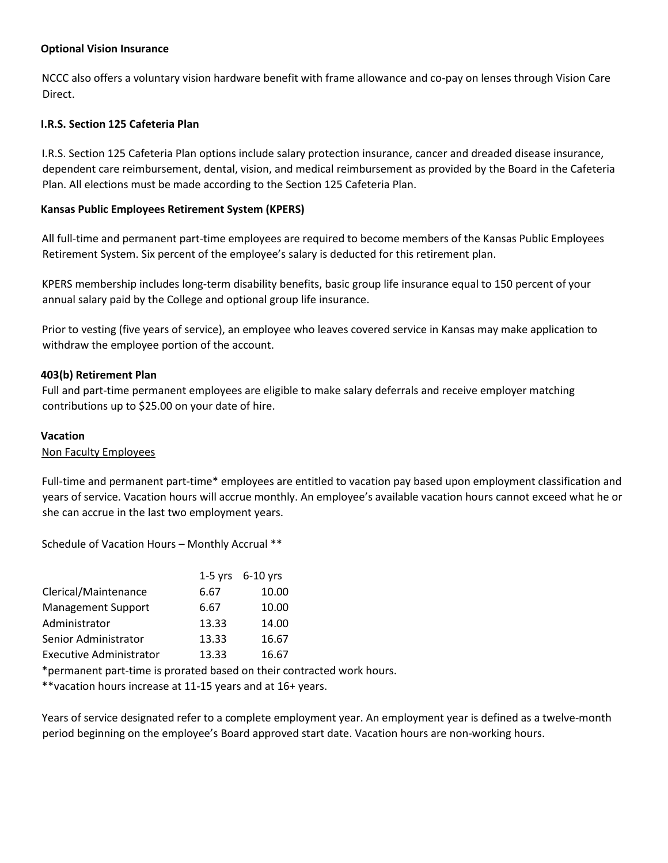### **Optional Vision Insurance**

NCCC also offers a voluntary vision hardware benefit with frame allowance and co-pay on lenses through Vision Care Direct.

## **I.R.S. Section 125 Cafeteria Plan**

I.R.S. Section 125 Cafeteria Plan options include salary protection insurance, cancer and dreaded disease insurance, dependent care reimbursement, dental, vision, and medical reimbursement as provided by the Board in the Cafeteria Plan. All elections must be made according to the Section 125 Cafeteria Plan.

# **Kansas Public Employees Retirement System (KPERS)**

All full-time and permanent part-time employees are required to become members of the Kansas Public Employees Retirement System. Six percent of the employee's salary is deducted for this retirement plan.

KPERS membership includes long-term disability benefits, basic group life insurance equal to 150 percent of your annual salary paid by the College and optional group life insurance.

Prior to vesting (five years of service), an employee who leaves covered service in Kansas may make application to withdraw the employee portion of the account.

## **403(b) Retirement Plan**

Full and part-time permanent employees are eligible to make salary deferrals and receive employer matching contributions up to \$25.00 on your date of hire.

#### **Vacation**

Non Faculty Employees

Full-time and permanent part-time\* employees are entitled to vacation pay based upon employment classification and years of service. Vacation hours will accrue monthly. An employee's available vacation hours cannot exceed what he or she can accrue in the last two employment years.

Schedule of Vacation Hours – Monthly Accrual \*\*

|                                |       | $1-5$ yrs $6-10$ yrs |
|--------------------------------|-------|----------------------|
| Clerical/Maintenance           | 6.67  | 10.00                |
| <b>Management Support</b>      | 6.67  | 10.00                |
| Administrator                  | 13.33 | 14.00                |
| Senior Administrator           | 13.33 | 16.67                |
| <b>Executive Administrator</b> | 13.33 | 16.67                |

\*permanent part-time is prorated based on their contracted work hours.

\*\*vacation hours increase at 11-15 years and at 16+ years.

Years of service designated refer to a complete employment year. An employment year is defined as a twelve-month period beginning on the employee's Board approved start date. Vacation hours are non-working hours.